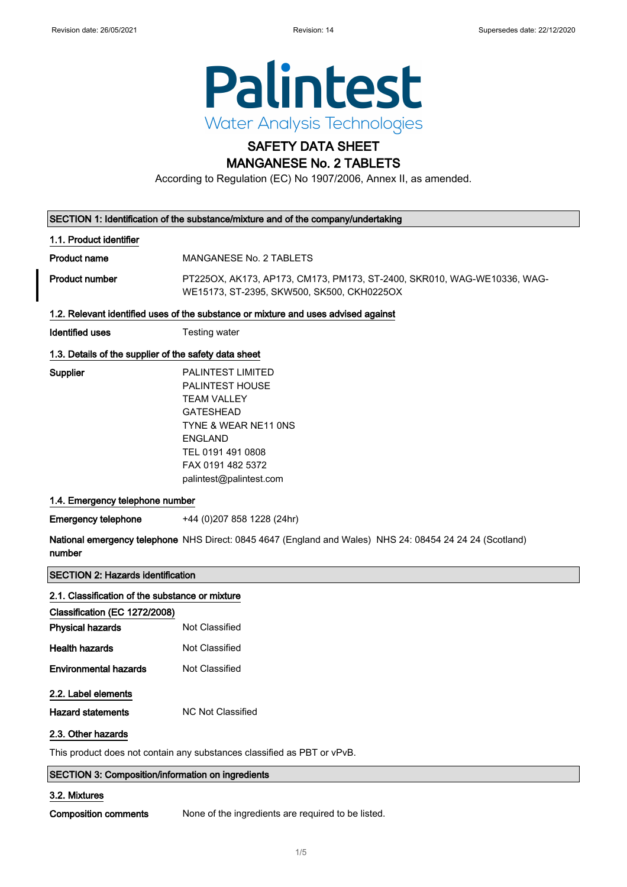

# SAFETY DATA SHEET

# MANGANESE No. 2 TABLETS

According to Regulation (EC) No 1907/2006, Annex II, as amended.

| SECTION 1: Identification of the substance/mixture and of the company/undertaking |  |
|-----------------------------------------------------------------------------------|--|
|-----------------------------------------------------------------------------------|--|

### 1.1. Product identifier

Product name MANGANESE No. 2 TABLETS

Product number PT225OX, AK173, AP173, CM173, PM173, ST-2400, SKR010, WAG-WE10336, WAG-WE15173, ST-2395, SKW500, SK500, CKH0225OX

### 1.2. Relevant identified uses of the substance or mixture and uses advised against

Identified uses Testing water

### 1.3. Details of the supplier of the safety data sheet

Supplier PALINTEST LIMITED PALINTEST HOUSE TEAM VALLEY GATESHEAD TYNE & WEAR NE11 0NS ENGLAND TEL 0191 491 0808 FAX 0191 482 5372 palintest@palintest.com

### 1.4. Emergency telephone number

Emergency telephone +44 (0)207 858 1228 (24hr)

**National emergency telephone** NHS Direct: 0845 4647 (England and Wales) NHS 24: 08454 24 24 24 (Scotland) number

### SECTION 2: Hazards identification

| Classification (EC 1272/2008) |
|-------------------------------|
| Not Classified                |
| Not Classified                |
| Not Classified                |
|                               |
| NC Not Classified             |
|                               |
|                               |

### SECTION 3: Composition/information on ingredients

### 3.2. Mixtures

Composition comments None of the ingredients are required to be listed.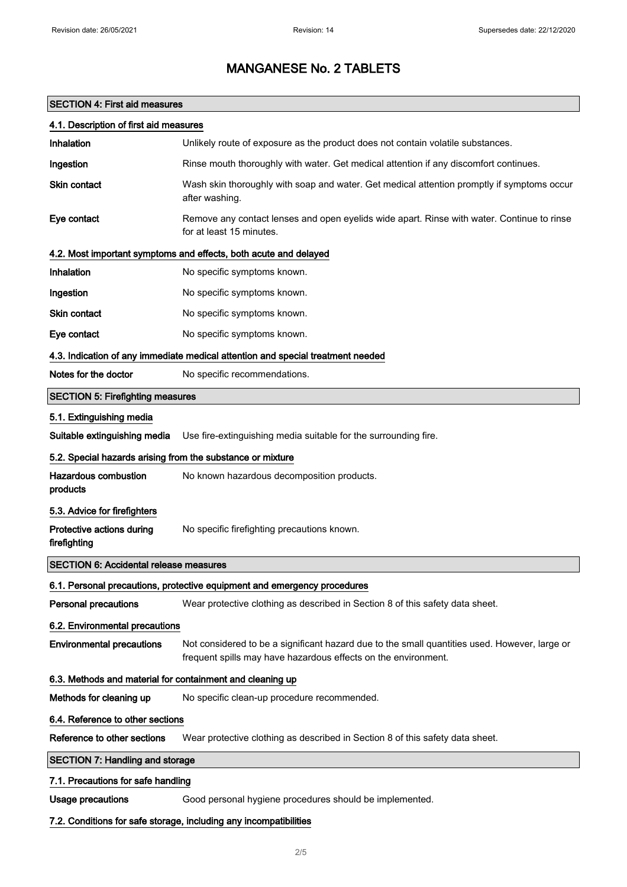### SECTION 4: First aid measures

| 4.1. Description of first aid measures                                          |                                                                                                                                                                 |  |  |  |
|---------------------------------------------------------------------------------|-----------------------------------------------------------------------------------------------------------------------------------------------------------------|--|--|--|
| Inhalation                                                                      | Unlikely route of exposure as the product does not contain volatile substances.                                                                                 |  |  |  |
| Ingestion                                                                       | Rinse mouth thoroughly with water. Get medical attention if any discomfort continues.                                                                           |  |  |  |
| <b>Skin contact</b>                                                             | Wash skin thoroughly with soap and water. Get medical attention promptly if symptoms occur<br>after washing.                                                    |  |  |  |
| Eye contact                                                                     | Remove any contact lenses and open eyelids wide apart. Rinse with water. Continue to rinse<br>for at least 15 minutes.                                          |  |  |  |
|                                                                                 | 4.2. Most important symptoms and effects, both acute and delayed                                                                                                |  |  |  |
| Inhalation                                                                      | No specific symptoms known.                                                                                                                                     |  |  |  |
| Ingestion                                                                       | No specific symptoms known.                                                                                                                                     |  |  |  |
| Skin contact                                                                    | No specific symptoms known.                                                                                                                                     |  |  |  |
| Eye contact                                                                     | No specific symptoms known.                                                                                                                                     |  |  |  |
| 4.3. Indication of any immediate medical attention and special treatment needed |                                                                                                                                                                 |  |  |  |
| Notes for the doctor                                                            | No specific recommendations.                                                                                                                                    |  |  |  |
| <b>SECTION 5: Firefighting measures</b>                                         |                                                                                                                                                                 |  |  |  |
| 5.1. Extinguishing media                                                        |                                                                                                                                                                 |  |  |  |
| Suitable extinguishing media                                                    | Use fire-extinguishing media suitable for the surrounding fire.                                                                                                 |  |  |  |
| 5.2. Special hazards arising from the substance or mixture                      |                                                                                                                                                                 |  |  |  |
| <b>Hazardous combustion</b><br>products                                         | No known hazardous decomposition products.                                                                                                                      |  |  |  |
| 5.3. Advice for firefighters                                                    |                                                                                                                                                                 |  |  |  |
| Protective actions during<br>firefighting                                       | No specific firefighting precautions known.                                                                                                                     |  |  |  |
| <b>SECTION 6: Accidental release measures</b>                                   |                                                                                                                                                                 |  |  |  |
|                                                                                 | 6.1. Personal precautions, protective equipment and emergency procedures                                                                                        |  |  |  |
| <b>Personal precautions</b>                                                     | Wear protective clothing as described in Section 8 of this safety data sheet.                                                                                   |  |  |  |
| 6.2. Environmental precautions                                                  |                                                                                                                                                                 |  |  |  |
| <b>Environmental precautions</b>                                                | Not considered to be a significant hazard due to the small quantities used. However, large or<br>frequent spills may have hazardous effects on the environment. |  |  |  |
| 6.3. Methods and material for containment and cleaning up                       |                                                                                                                                                                 |  |  |  |
| Methods for cleaning up                                                         | No specific clean-up procedure recommended.                                                                                                                     |  |  |  |
| 6.4. Reference to other sections                                                |                                                                                                                                                                 |  |  |  |
| Reference to other sections                                                     | Wear protective clothing as described in Section 8 of this safety data sheet.                                                                                   |  |  |  |
| <b>SECTION 7: Handling and storage</b>                                          |                                                                                                                                                                 |  |  |  |
| 7.1. Precautions for safe handling                                              |                                                                                                                                                                 |  |  |  |
| <b>Usage precautions</b>                                                        | Good personal hygiene procedures should be implemented.                                                                                                         |  |  |  |
|                                                                                 | 7.2. Conditions for safe storage, including any incompatibilities                                                                                               |  |  |  |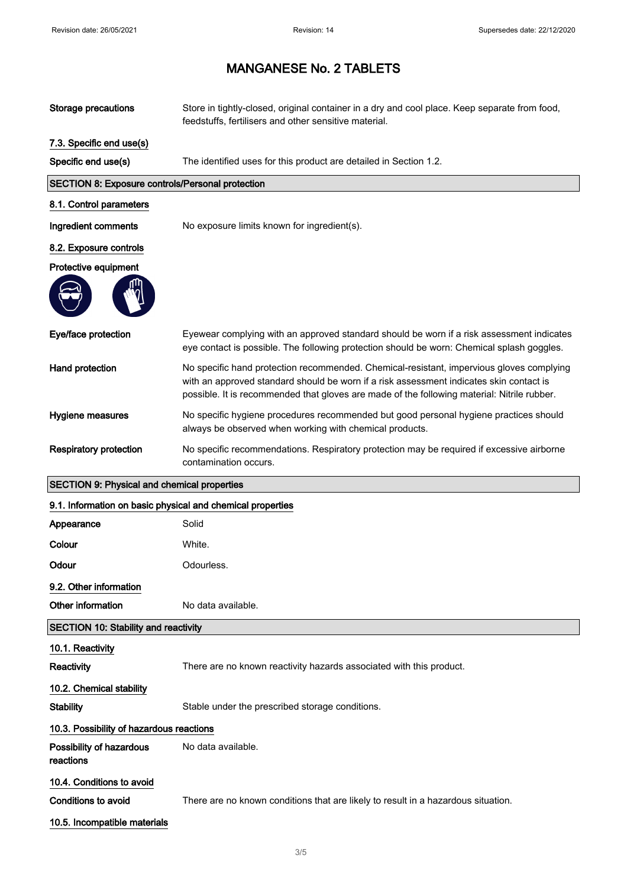| <b>Storage precautions</b>                                 | Store in tightly-closed, original container in a dry and cool place. Keep separate from food,<br>feedstuffs, fertilisers and other sensitive material.                                                                                                                             |
|------------------------------------------------------------|------------------------------------------------------------------------------------------------------------------------------------------------------------------------------------------------------------------------------------------------------------------------------------|
| 7.3. Specific end use(s)                                   |                                                                                                                                                                                                                                                                                    |
| Specific end use(s)                                        | The identified uses for this product are detailed in Section 1.2.                                                                                                                                                                                                                  |
| <b>SECTION 8: Exposure controls/Personal protection</b>    |                                                                                                                                                                                                                                                                                    |
| 8.1. Control parameters                                    |                                                                                                                                                                                                                                                                                    |
| Ingredient comments                                        | No exposure limits known for ingredient(s).                                                                                                                                                                                                                                        |
| 8.2. Exposure controls                                     |                                                                                                                                                                                                                                                                                    |
| Protective equipment                                       |                                                                                                                                                                                                                                                                                    |
|                                                            |                                                                                                                                                                                                                                                                                    |
| Eye/face protection                                        | Eyewear complying with an approved standard should be worn if a risk assessment indicates<br>eye contact is possible. The following protection should be worn: Chemical splash goggles.                                                                                            |
| Hand protection                                            | No specific hand protection recommended. Chemical-resistant, impervious gloves complying<br>with an approved standard should be worn if a risk assessment indicates skin contact is<br>possible. It is recommended that gloves are made of the following material: Nitrile rubber. |
| Hygiene measures                                           | No specific hygiene procedures recommended but good personal hygiene practices should<br>always be observed when working with chemical products.                                                                                                                                   |
| <b>Respiratory protection</b>                              | No specific recommendations. Respiratory protection may be required if excessive airborne<br>contamination occurs.                                                                                                                                                                 |
|                                                            |                                                                                                                                                                                                                                                                                    |
| <b>SECTION 9: Physical and chemical properties</b>         |                                                                                                                                                                                                                                                                                    |
| 9.1. Information on basic physical and chemical properties |                                                                                                                                                                                                                                                                                    |
| Appearance                                                 | Solid                                                                                                                                                                                                                                                                              |
| Colour                                                     | White.                                                                                                                                                                                                                                                                             |
| Odour                                                      | Odourless.                                                                                                                                                                                                                                                                         |
| 9.2. Other information                                     |                                                                                                                                                                                                                                                                                    |
| Other information                                          | No data available.                                                                                                                                                                                                                                                                 |
| <b>SECTION 10: Stability and reactivity</b>                |                                                                                                                                                                                                                                                                                    |
| 10.1. Reactivity                                           |                                                                                                                                                                                                                                                                                    |
| <b>Reactivity</b>                                          | There are no known reactivity hazards associated with this product.                                                                                                                                                                                                                |
| 10.2. Chemical stability                                   |                                                                                                                                                                                                                                                                                    |
| <b>Stability</b>                                           | Stable under the prescribed storage conditions.                                                                                                                                                                                                                                    |
| 10.3. Possibility of hazardous reactions                   |                                                                                                                                                                                                                                                                                    |
| Possibility of hazardous<br>reactions                      | No data available.                                                                                                                                                                                                                                                                 |
| 10.4. Conditions to avoid                                  |                                                                                                                                                                                                                                                                                    |
| Conditions to avoid                                        | There are no known conditions that are likely to result in a hazardous situation.                                                                                                                                                                                                  |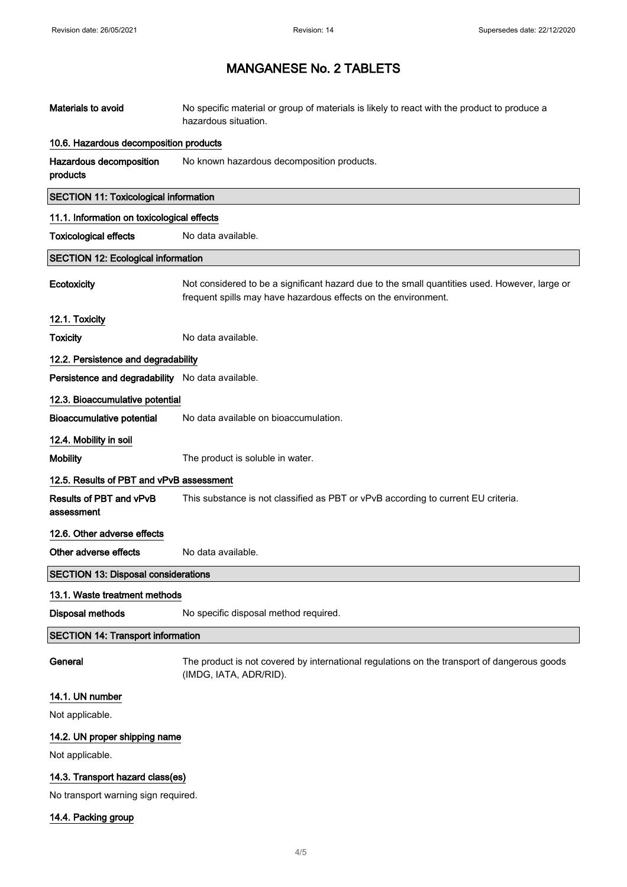| Materials to avoid                               | No specific material or group of materials is likely to react with the product to produce a<br>hazardous situation.                                             |  |  |
|--------------------------------------------------|-----------------------------------------------------------------------------------------------------------------------------------------------------------------|--|--|
| 10.6. Hazardous decomposition products           |                                                                                                                                                                 |  |  |
| Hazardous decomposition<br>products              | No known hazardous decomposition products.                                                                                                                      |  |  |
| <b>SECTION 11: Toxicological information</b>     |                                                                                                                                                                 |  |  |
| 11.1. Information on toxicological effects       |                                                                                                                                                                 |  |  |
| <b>Toxicological effects</b>                     | No data available.                                                                                                                                              |  |  |
| <b>SECTION 12: Ecological information</b>        |                                                                                                                                                                 |  |  |
| Ecotoxicity                                      | Not considered to be a significant hazard due to the small quantities used. However, large or<br>frequent spills may have hazardous effects on the environment. |  |  |
| 12.1. Toxicity                                   |                                                                                                                                                                 |  |  |
| <b>Toxicity</b>                                  | No data available.                                                                                                                                              |  |  |
| 12.2. Persistence and degradability              |                                                                                                                                                                 |  |  |
| Persistence and degradability No data available. |                                                                                                                                                                 |  |  |
| 12.3. Bioaccumulative potential                  |                                                                                                                                                                 |  |  |
| <b>Bioaccumulative potential</b>                 | No data available on bioaccumulation.                                                                                                                           |  |  |
| 12.4. Mobility in soil                           |                                                                                                                                                                 |  |  |
| <b>Mobility</b>                                  | The product is soluble in water.                                                                                                                                |  |  |
| 12.5. Results of PBT and vPvB assessment         |                                                                                                                                                                 |  |  |
| Results of PBT and vPvB<br>assessment            | This substance is not classified as PBT or vPvB according to current EU criteria.                                                                               |  |  |
| 12.6. Other adverse effects                      |                                                                                                                                                                 |  |  |
| Other adverse effects                            | No data available.                                                                                                                                              |  |  |
| <b>SECTION 13: Disposal considerations</b>       |                                                                                                                                                                 |  |  |
| 13.1. Waste treatment methods                    |                                                                                                                                                                 |  |  |
| <b>Disposal methods</b>                          | No specific disposal method required.                                                                                                                           |  |  |
| <b>SECTION 14: Transport information</b>         |                                                                                                                                                                 |  |  |
| General                                          | The product is not covered by international regulations on the transport of dangerous goods<br>(IMDG, IATA, ADR/RID).                                           |  |  |
| 14.1. UN number                                  |                                                                                                                                                                 |  |  |
| Not applicable.                                  |                                                                                                                                                                 |  |  |
| 14.2. UN proper shipping name                    |                                                                                                                                                                 |  |  |
| Not applicable.                                  |                                                                                                                                                                 |  |  |
| 14.3. Transport hazard class(es)                 |                                                                                                                                                                 |  |  |
| No transport warning sign required.              |                                                                                                                                                                 |  |  |

14.4. Packing group